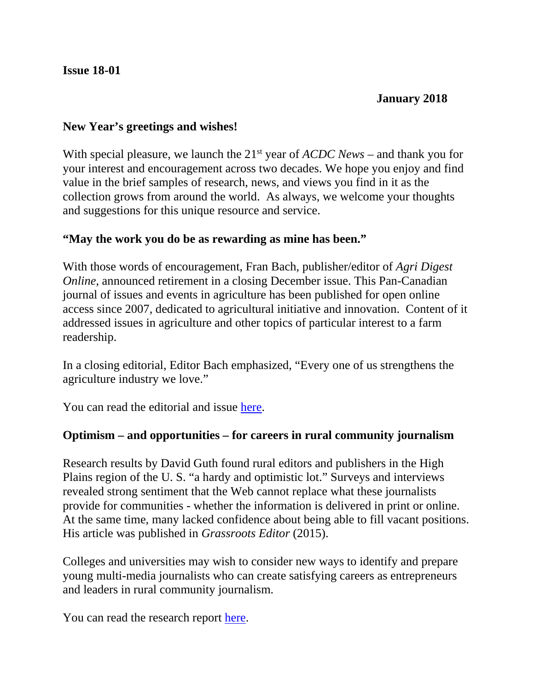#### **Issue 18-01**

### **January 2018**

#### **New Year's greetings and wishes!**

With special pleasure, we launch the 21<sup>st</sup> year of *ACDC News* – and thank you for your interest and encouragement across two decades. We hope you enjoy and find value in the brief samples of research, news, and views you find in it as the collection grows from around the world. As always, we welcome your thoughts and suggestions for this unique resource and service.

### **"May the work you do be as rewarding as mine has been."**

With those words of encouragement, Fran Bach, publisher/editor of *Agri Digest Online*, announced retirement in a closing December issue. This Pan-Canadian journal of issues and events in agriculture has been published for open online access since 2007, dedicated to agricultural initiative and innovation. Content of it addressed issues in agriculture and other topics of particular interest to a farm readership.

In a closing editorial, Editor Bach emphasized, "Every one of us strengthens the agriculture industry we love."

You can read the editorial and issue [here.](http://www.agridigest.com/)

### **Optimism – and opportunities – for careers in rural community journalism**

Research results by David Guth found rural editors and publishers in the High Plains region of the U. S. "a hardy and optimistic lot." Surveys and interviews revealed strong sentiment that the Web cannot replace what these journalists provide for communities - whether the information is delivered in print or online. At the same time, many lacked confidence about being able to fill vacant positions. His article was published in *Grassroots Editor* (2015).

Colleges and universities may wish to consider new ways to identify and prepare young multi-media journalists who can create satisfying careers as entrepreneurs and leaders in rural community journalism.

You can read the research report [here.](http://www.dguth.journalism.ku.edu/HighPlains.pdf)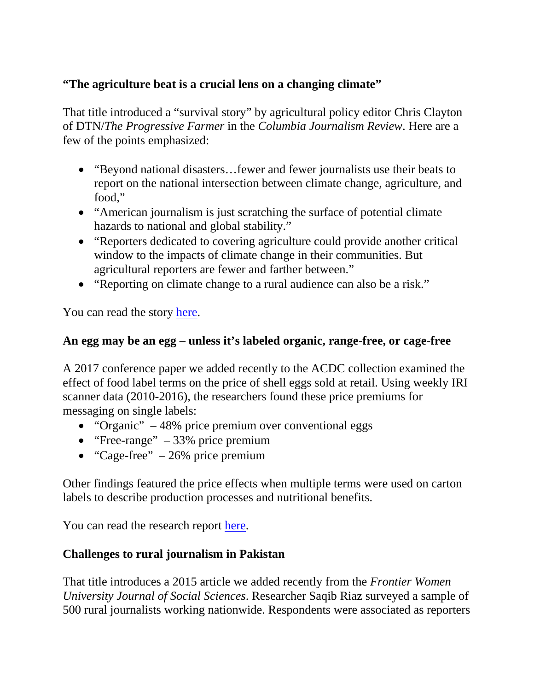# **"The agriculture beat is a crucial lens on a changing climate"**

That title introduced a "survival story" by agricultural policy editor Chris Clayton of DTN/*The Progressive Farmer* in the *Columbia Journalism Review*. Here are a few of the points emphasized:

- "Beyond national disasters... fewer and fewer journalists use their beats to report on the national intersection between climate change, agriculture, and food,"
- "American journalism is just scratching the surface of potential climate hazards to national and global stability."
- "Reporters dedicated to covering agriculture could provide another critical window to the impacts of climate change in their communities. But agricultural reporters are fewer and farther between."
- "Reporting on climate change to a rural audience can also be a risk."

You can read the story [here.](https://www.cjr.org/special_report/climate-change-agriculture-food/php)

# **An egg may be an egg – unless it's labeled organic, range-free, or cage-free**

A 2017 conference paper we added recently to the ACDC collection examined the effect of food label terms on the price of shell eggs sold at retail. Using weekly IRI scanner data (2010-2016), the researchers found these price premiums for messaging on single labels:

- "Organic" 48% price premium over conventional eggs
- "Free-range"  $-33%$  price premium
- "Cage-free"  $-26\%$  price premium

Other findings featured the price effects when multiple terms were used on carton labels to describe production processes and nutritional benefits.

You can read the research report [here.](http://ageconsearch.umn.edu/record/258267)

## **Challenges to rural journalism in Pakistan**

That title introduces a 2015 article we added recently from the *Frontier Women University Journal of Social Sciences*. Researcher Saqib Riaz surveyed a sample of 500 rural journalists working nationwide. Respondents were associated as reporters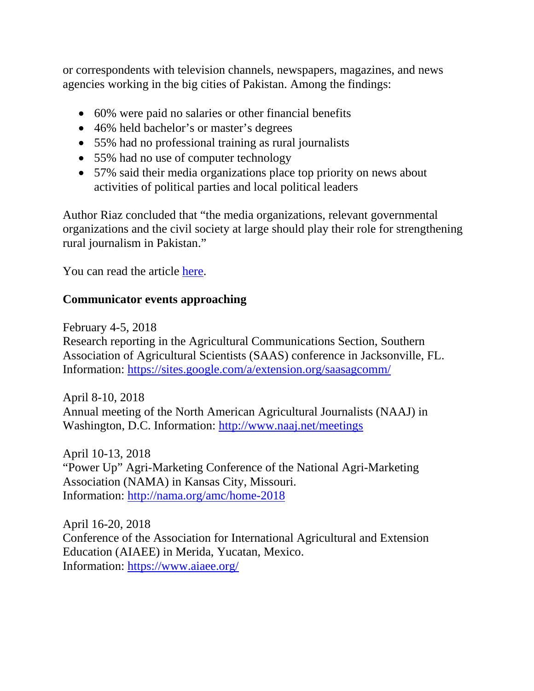or correspondents with television channels, newspapers, magazines, and news agencies working in the big cities of Pakistan. Among the findings:

- 60% were paid no salaries or other financial benefits
- 46% held bachelor's or master's degrees
- 55% had no professional training as rural journalists
- 55% had no use of computer technology
- 57% said their media organizations place top priority on news about activities of political parties and local political leaders

Author Riaz concluded that "the media organizations, relevant governmental organizations and the civil society at large should play their role for strengthening rural journalism in Pakistan."

You can read the article [here.](http://www.sbbwu.edu.pk/journal/Jan%202016/8.Challenges%20to%20Rural%20Journalism%20in%20Pakistan.pdf)

# **Communicator events approaching**

February 4-5, 2018

Research reporting in the Agricultural Communications Section, Southern Association of Agricultural Scientists (SAAS) conference in Jacksonville, FL. Information:<https://sites.google.com/a/extension.org/saasagcomm/>

April 8-10, 2018 Annual meeting of the North American Agricultural Journalists (NAAJ) in Washington, D.C. Information:<http://www.naaj.net/meetings>

April 10-13, 2018 "Power Up" Agri-Marketing Conference of the National Agri-Marketing Association (NAMA) in Kansas City, Missouri. Information:<http://nama.org/amc/home-2018>

April 16-20, 2018 Conference of the Association for International Agricultural and Extension Education (AIAEE) in Merida, Yucatan, Mexico. Information:<https://www.aiaee.org/>